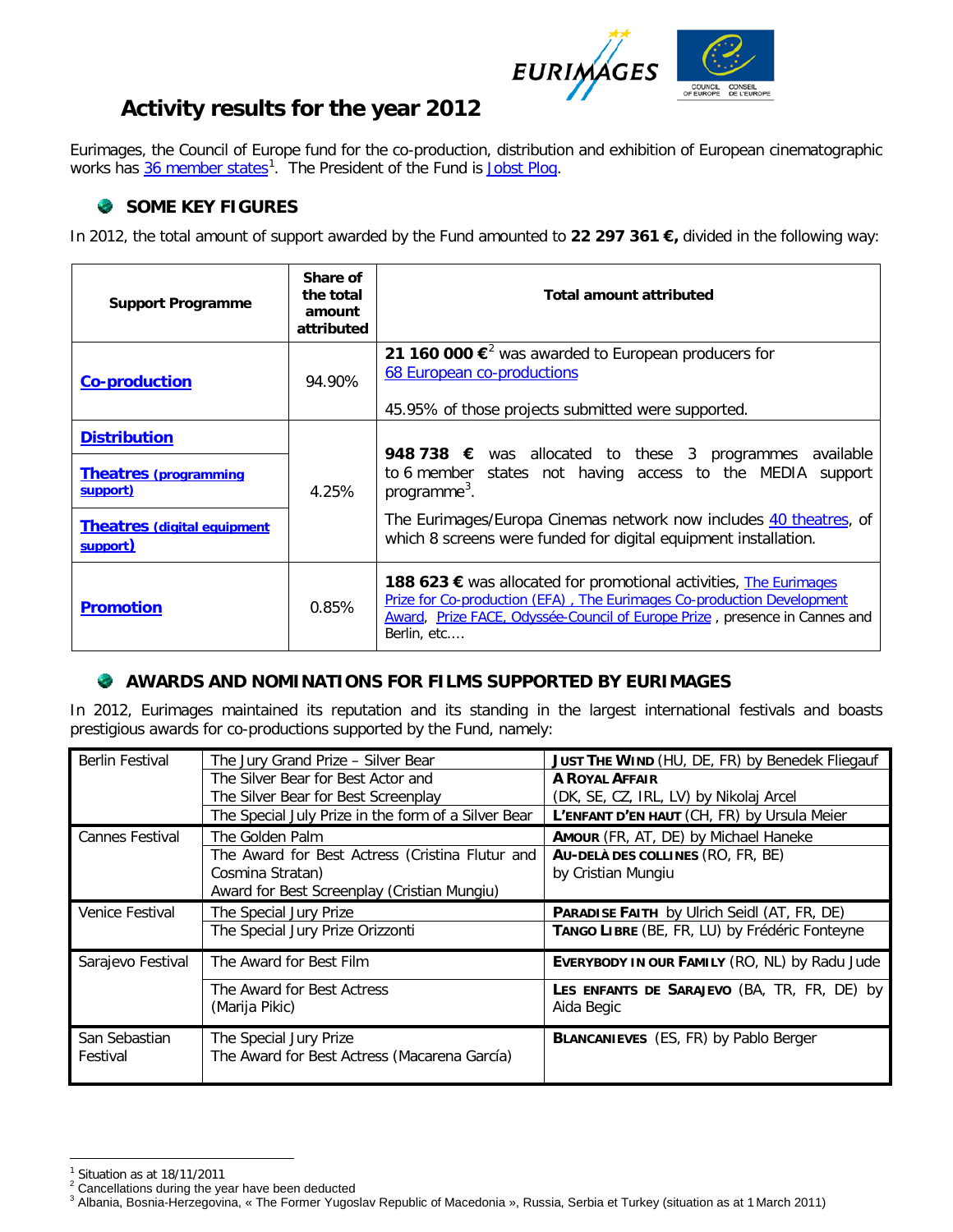

# **Activity results for the year 2012**

Eurimages, the Council of Europe fund for the co-production, distribution and exhibition of European cinematographic works has 36 [member states](http://www.coe.int/t/dg4/eurimages/About/MemberStates_fr.asp)<sup>[1](#page-0-0)</sup>. The President of the Fund is [Jobst Plog.](http://www.coe.int/t/dg4/eurimages/About/President_fr.asp)

## **SOME KEY FIGURES**

In 2012, the total amount of support awarded by the Fund amounted to **22 297 361 €,** divided in the following way:

| <b>Support Programme</b>                                                                                          | Share of<br>the total<br>amount<br>attributed | <b>Total amount attributed</b>                                                                                                                                                                                                                                                                     |
|-------------------------------------------------------------------------------------------------------------------|-----------------------------------------------|----------------------------------------------------------------------------------------------------------------------------------------------------------------------------------------------------------------------------------------------------------------------------------------------------|
| <b>Co-production</b>                                                                                              | 94.90%                                        | 21 160 000 € <sup>2</sup> was awarded to European producers for<br>68 European co-productions<br>45.95% of those projects submitted were supported.                                                                                                                                                |
| <b>Distribution</b><br><b>Theatres (programming</b><br>support)<br><b>Theatres (digital equipment</b><br>support) | 4.25%                                         | <b>948 738 €</b> was allocated to these 3 programmes available<br>to 6 member states not having access to the MEDIA<br>support<br>programme <sup>3</sup> .<br>The Eurimages/Europa Cinemas network now includes 40 theatres, of<br>which 8 screens were funded for digital equipment installation. |
| <b>Promotion</b>                                                                                                  | 0.85%                                         | <b>188 623 €</b> was allocated for promotional activities, The Eurimages<br>Prize for Co-production (EFA), The Eurimages Co-production Development<br>Award, Prize FACE, Odyssée-Council of Europe Prize, presence in Cannes and<br>Berlin, etc                                                    |

#### **AWARDS AND NOMINATIONS FOR FILMS SUPPORTED BY EURIMAGES**

In 2012, Eurimages maintained its reputation and its standing in the largest international festivals and boasts prestigious awards for co-productions supported by the Fund, namely:

| <b>Berlin Festival</b> | The Jury Grand Prize - Silver Bear                  | JUST THE WIND (HU, DE, FR) by Benedek Fliegauf     |
|------------------------|-----------------------------------------------------|----------------------------------------------------|
|                        | The Silver Bear for Best Actor and                  | <b>A ROYAL AFFAIR</b>                              |
|                        | The Silver Bear for Best Screenplay                 | (DK, SE, CZ, IRL, LV) by Nikolaj Arcel             |
|                        | The Special July Prize in the form of a Silver Bear | L'ENFANT D'EN HAUT (CH, FR) by Ursula Meier        |
| <b>Cannes Festival</b> | The Golden Palm                                     | AMOUR (FR, AT, DE) by Michael Haneke               |
|                        | The Award for Best Actress (Cristina Flutur and     | AU-DELA DES COLLINES (RO, FR, BE)                  |
|                        | Cosmina Stratan)                                    | by Cristian Mungiu                                 |
|                        | Award for Best Screenplay (Cristian Mungiu)         |                                                    |
| Venice Festival        | The Special Jury Prize                              | <b>PARADISE FAITH</b> by Ulrich Seidl (AT, FR, DE) |
|                        |                                                     |                                                    |
|                        | The Special Jury Prize Orizzonti                    | TANGO LIBRE (BE, FR, LU) by Frédéric Fonteyne      |
| Sarajevo Festival      | The Award for Best Film                             | EVERYBODY IN OUR FAMILY (RO, NL) by Radu Jude      |
|                        | The Award for Best Actress                          | LES ENFANTS DE SARAJEVO (BA, TR, FR, DE) by        |
|                        | (Marija Pikic)                                      | Aida Begic                                         |
| San Sebastian          | The Special Jury Prize                              | <b>BLANCANIEVES</b> (ES, FR) by Pablo Berger       |
| Festival               | The Award for Best Actress (Macarena García)        |                                                    |

<span id="page-0-0"></span> $1$  Situation as at 18/11/2011

<span id="page-0-2"></span>

<span id="page-0-1"></span><sup>&</sup>lt;sup>2</sup> Cancellations during the year have been deducted<br><sup>3</sup> Albania, Bosnia-Herzegovina, « The Former Yugoslav Republic of Macedonia », Russia, Serbia et Turkey (situation as at 1 March 2011)